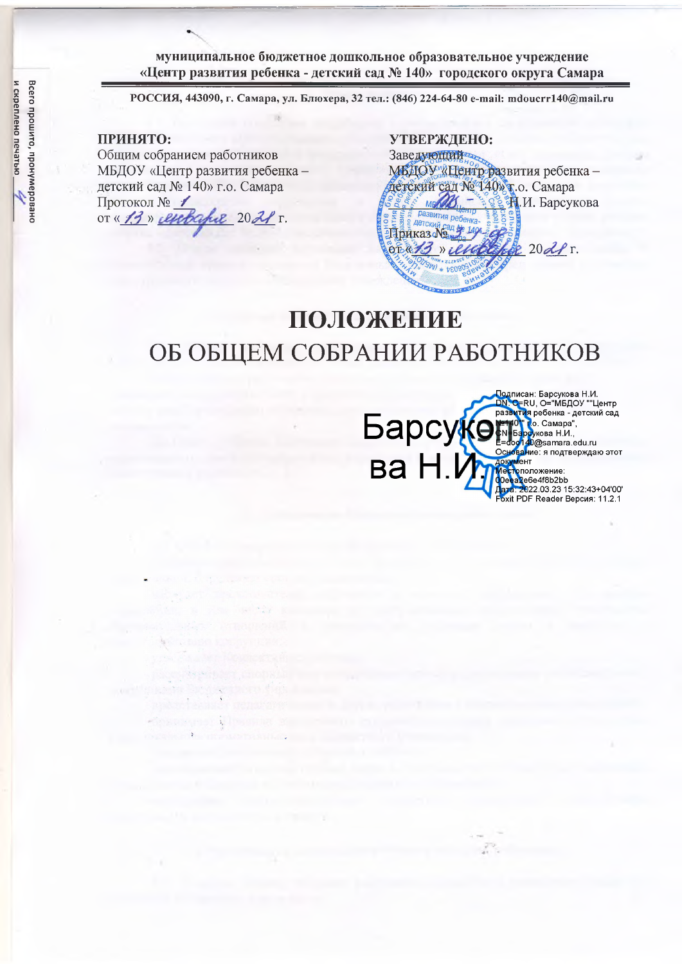**муниципальное бюджетное дошкольное образовательное учреждение «Центр развития ребенка - детский сад № 140» городского округа Самара**

**РОССИЯ, 443090, г. Самара, ул. Блюхера, 32 тел.: (846) 224-64-80 e-mail: [mdoucrrl40@mail.ru](mailto:mdoucrrl40@mail.ru)**

### **ПРИНЯТО:**

Общим собранием работников МБДОУ «Центр развития ребенка детский сад № 140» г.о. Самара Протокол № / от « 13 » енеране 2021 г.

**УТВЕРЖДЕНО:** Заведующий МБДОУ «Нентр развития ребенка детский сад № 140» г.о. Самара  $\mathbb{Z}$   $\mathbb{Z}$   $\mathbb{Z}$   $M$ . Барсукова MR азвития реб Приказо  $0.6473$  $20d$   $r$ .  $W_{\mathcal{A}}$ 

# **ПОЛОЖЕНИЕ** ОБ ОБЩЕМ СОБРАНИИ РАБОТНИКОВ

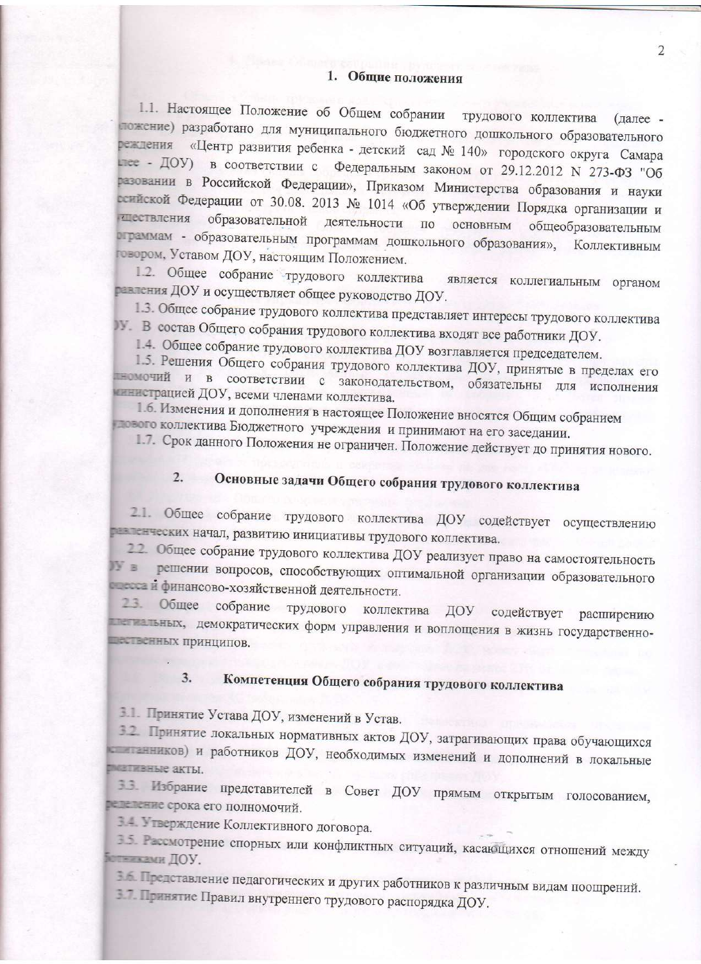1.1. Настоящее Положение об Общем собрании трудового коллектива (далее пожение) разработано для муниципального бюджетного дошкольного образовательного реждения «Центр развития ребенка - детский сад № 140» городского округа Самара глее - ДОУ) в соответствии с Федеральным законом от 29.12.2012 N 273-ФЗ "Об разовании в Российской Федерации», Приказом Министерства образования и науки ссийской Федерации от 30.08. 2013 № 1014 «Об утверждении Порядка организации и члествления образовательной деятельности по основным общеобразовательным ограммам - образовательным программам дошкольного образования», Коллективным говором, Уставом ДОУ, настоящим Положением.

1.2. Общее собрание трудового коллектива является коллегиальным органом равления ДОУ и осуществляет общее руководство ДОУ.

1.3. Общее собрание трудового коллектива представляет интересы трудового коллектива W. В состав Общего собрания трудового коллектива входят все работники ДОУ.

1.4. Общее собрание трудового коллектива ДОУ возглавляется председателем.

1.5. Решения Общего собрания трудового коллектива ДОУ, принятые в пределах его тномочий и в соответствии с законодательством, обязательны для исполнения инистрацией ДОУ, всеми членами коллектива.

1.6. Изменения и дополнения в настоящее Положение вносятся Общим собранием плового коллектива Бюджетного учреждения и принимают на его заседании.

1.7. Срок данного Положения не ограничен. Положение действует до принятия нового.

### Основные задачи Общего собрания трудового коллектива  $2.$

2.1. Общее собрание трудового коллектива ДОУ содействует осуществлению равленческих начал, развитию инициативы трудового коллектива.

22. Общее собрание трудового коллектива ДОУ реализует право на самостоятельность в решении вопросов, способствующих оптимальной организации образовательного после и финансово-хозяйственной деятельности.

2.3. Общее собрание трудового коллектива ДОУ содействует расширению постальных, демократических форм управления и воплощения в жизнь государственнопественных принципов.

#### Компетенция Общего собрания трудового коллектива  $3.$

3.1. Принятие Устава ДОУ, изменений в Устав.

3.2. Принятие локальных нормативных актов ДОУ, затрагивающих права обучающихся с анников) и работников ДОУ, необходимых изменений и дополнений в локальные плативные акты.

3.3. Избрание представителей в Совет ДОУ прямым открытым голосованием, педеление срока его полномочий.

3.4. Утверждение Коллективного договора.

3.5. Рассмотрение спорных или конфликтных ситуаций, касающихся отношений между ботниками ДОУ.

В. Представление педагогических и других работников к различным видам поощрений.

3.7. Принятие Правил внутреннего трудового распорядка ДОУ.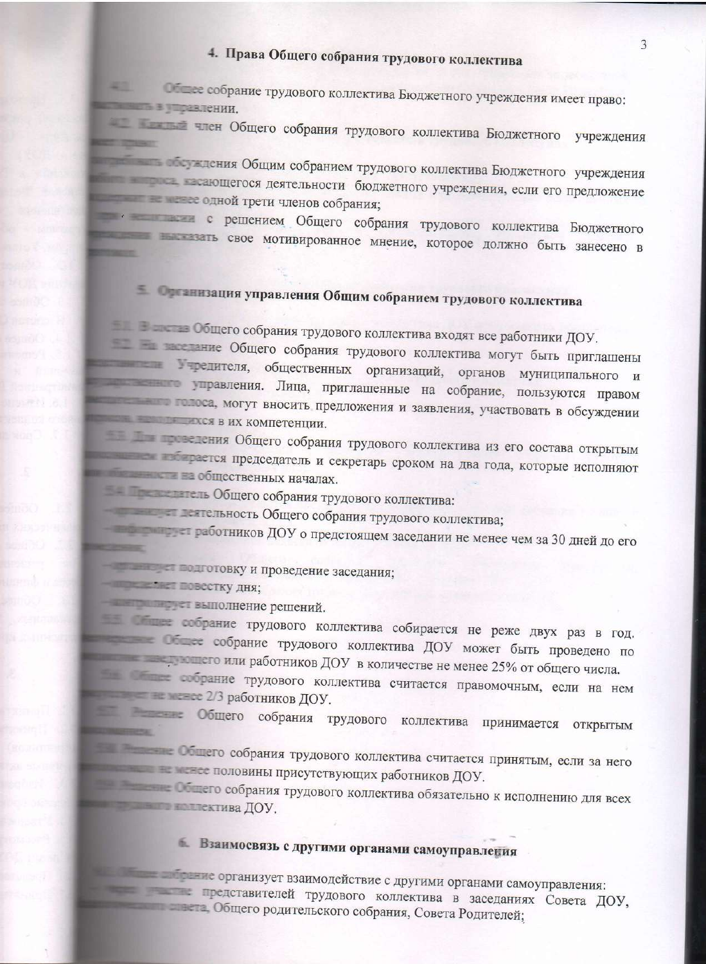### 4. Права Общего собрания трудового коллектива

en l Общее собрание трудового коллектива Бюджетного учреждения имеет право: <u>в политик, в поравлении.</u>

член Общего собрания трудового коллектива Бюджетного учреждения **PERSONAL** 

последния Общим собранием трудового коллектива Бюджетного учреждения в сающегося деятельности бюджетного учреждения, если его предложение ников собрания; содной трети членов собрания;

с решением Общего собрания трудового коллектива Бюджетного свое мотивированное мнение, которое должно быть занесено в

## Е ОТ ВИЗАЦИЯ управления Общим собранием трудового коллектива

Общего собрания трудового коллектива входят все работники ДОУ.

последние Общего собрания трудового коллектива могут быть приглашены тередителя, общественных организаций, органов муниципального и управления. Лица, приглашенные на собрание, пользуются правом полоса, могут вносить предложения и заявления, участвовать в обсуждении и по последник в их компетенции.

на председения Общего собрания трудового коллектива из его состава открытым председатель и секретарь сроком на два года, которые исполняют на собщественных началах.

на при политички общего собрания трудового коллектива:

техтельность Общего собрания трудового коллектива;

т работников ДОУ о предстоящем заседании не менее чем за 30 дней до его

проведение заседания;

Повестку дня;

выполнение решений.

собрание трудового коллектива собирается не реже двух раз в год. собрание трудового коллектива ДОУ может быть проведено по на по пли работников ДОУ в количестве не менее 25% от общего числа.

последние трудового коллектива считается правомочным, если на нем **В Видеое 2/3 работников ДОУ.** 

Общего собрания трудового коллектива принимается открытым **URIGERY** 

Общего собрания трудового коллектива считается принятым, если за него на в тем не половины присутствующих работников ДОУ.

последние общего собрания трудового коллектива обязательно к исполнению для всех не на примечания доу,

### Взаимосвязь с другими органами самоуправления

не организует взаимодействие с другими органами самоуправления: представителей трудового коллектива в заседаниях Совета ДОУ, последно родительского собрания, Совета Родителей;